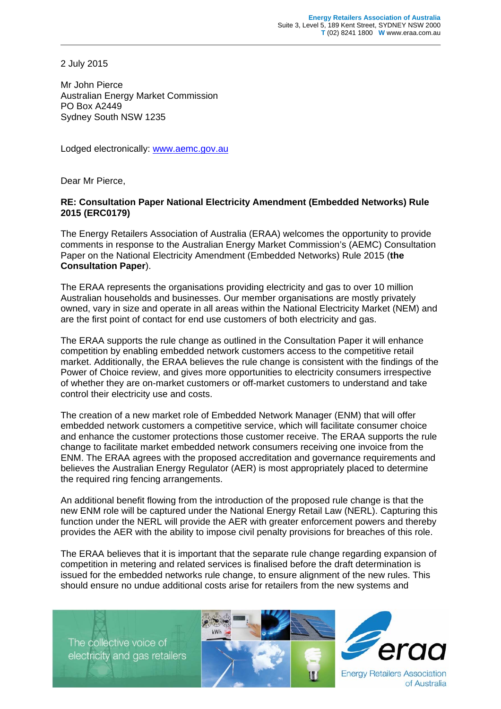2 July 2015

Mr John Pierce Australian Energy Market Commission PO Box A2449 Sydney South NSW 1235

Lodged electronically: www.aemc.gov.au

Dear Mr Pierce,

## **RE: Consultation Paper National Electricity Amendment (Embedded Networks) Rule 2015 (ERC0179)**

The Energy Retailers Association of Australia (ERAA) welcomes the opportunity to provide comments in response to the Australian Energy Market Commission's (AEMC) Consultation Paper on the National Electricity Amendment (Embedded Networks) Rule 2015 (**the Consultation Paper**).

The ERAA represents the organisations providing electricity and gas to over 10 million Australian households and businesses. Our member organisations are mostly privately owned, vary in size and operate in all areas within the National Electricity Market (NEM) and are the first point of contact for end use customers of both electricity and gas.

The ERAA supports the rule change as outlined in the Consultation Paper it will enhance competition by enabling embedded network customers access to the competitive retail market. Additionally, the ERAA believes the rule change is consistent with the findings of the Power of Choice review, and gives more opportunities to electricity consumers irrespective of whether they are on-market customers or off-market customers to understand and take control their electricity use and costs.

The creation of a new market role of Embedded Network Manager (ENM) that will offer embedded network customers a competitive service, which will facilitate consumer choice and enhance the customer protections those customer receive. The ERAA supports the rule change to facilitate market embedded network consumers receiving one invoice from the ENM. The ERAA agrees with the proposed accreditation and governance requirements and believes the Australian Energy Regulator (AER) is most appropriately placed to determine the required ring fencing arrangements.

An additional benefit flowing from the introduction of the proposed rule change is that the new ENM role will be captured under the National Energy Retail Law (NERL). Capturing this function under the NERL will provide the AER with greater enforcement powers and thereby provides the AER with the ability to impose civil penalty provisions for breaches of this role.

The ERAA believes that it is important that the separate rule change regarding expansion of competition in metering and related services is finalised before the draft determination is issued for the embedded networks rule change, to ensure alignment of the new rules. This should ensure no undue additional costs arise for retailers from the new systems and

The collective voice of electricity and gas retailers